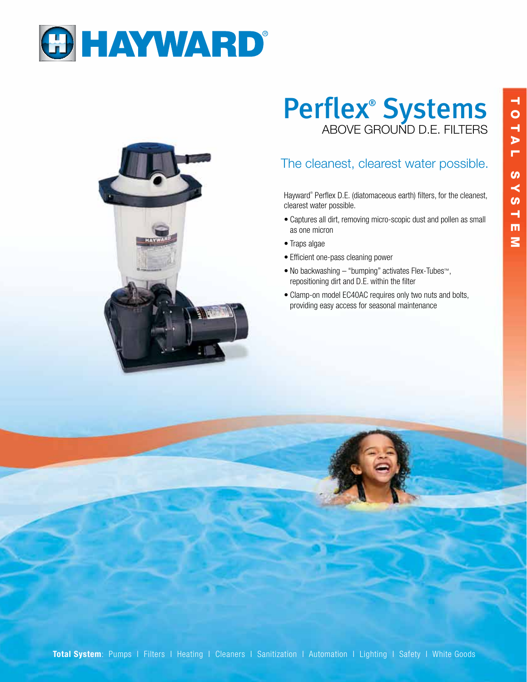



## Perflex® Systems Above Ground D.E. Filters

## The cleanest, clearest water possible.

Hayward® Perflex D.E. (diatomaceous earth) filters, for the cleanest, clearest water possible.

- Captures all dirt, removing micro-scopic dust and pollen as small as one micron
- Traps algae
- Efficient one-pass cleaning power
- • No backwashing "bumping" activates Flex-Tubes™, repositioning dirt and D.E. within the filter
- Clamp-on model EC40AC requires only two nuts and bolts, providing easy access for seasonal maintenance